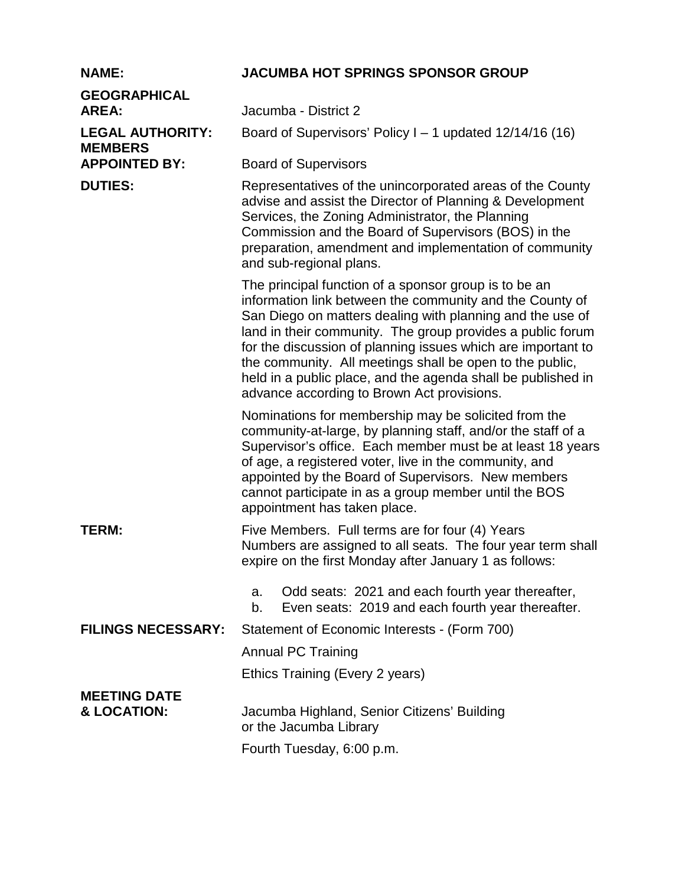## **NAME: JACUMBA HOT SPRINGS SPONSOR GROUP**

| <b>GEOGRAPHICAL</b><br><b>AREA:</b>       | Jacumba - District 2                                                                                                                                                                                                                                                                                                                                                                                                                                                                   |
|-------------------------------------------|----------------------------------------------------------------------------------------------------------------------------------------------------------------------------------------------------------------------------------------------------------------------------------------------------------------------------------------------------------------------------------------------------------------------------------------------------------------------------------------|
| <b>LEGAL AUTHORITY:</b><br><b>MEMBERS</b> | Board of Supervisors' Policy I – 1 updated $12/14/16$ (16)                                                                                                                                                                                                                                                                                                                                                                                                                             |
| <b>APPOINTED BY:</b>                      | <b>Board of Supervisors</b>                                                                                                                                                                                                                                                                                                                                                                                                                                                            |
| <b>DUTIES:</b>                            | Representatives of the unincorporated areas of the County<br>advise and assist the Director of Planning & Development<br>Services, the Zoning Administrator, the Planning<br>Commission and the Board of Supervisors (BOS) in the<br>preparation, amendment and implementation of community<br>and sub-regional plans.                                                                                                                                                                 |
|                                           | The principal function of a sponsor group is to be an<br>information link between the community and the County of<br>San Diego on matters dealing with planning and the use of<br>land in their community. The group provides a public forum<br>for the discussion of planning issues which are important to<br>the community. All meetings shall be open to the public,<br>held in a public place, and the agenda shall be published in<br>advance according to Brown Act provisions. |
|                                           | Nominations for membership may be solicited from the<br>community-at-large, by planning staff, and/or the staff of a<br>Supervisor's office. Each member must be at least 18 years<br>of age, a registered voter, live in the community, and<br>appointed by the Board of Supervisors. New members<br>cannot participate in as a group member until the BOS<br>appointment has taken place.                                                                                            |
| TERM:                                     | Five Members. Full terms are for four (4) Years<br>Numbers are assigned to all seats. The four year term shall<br>expire on the first Monday after January 1 as follows:                                                                                                                                                                                                                                                                                                               |
|                                           | Odd seats: 2021 and each fourth year thereafter,<br>a.<br>Even seats: 2019 and each fourth year thereafter.<br>b.                                                                                                                                                                                                                                                                                                                                                                      |
| <b>FILINGS NECESSARY:</b>                 | Statement of Economic Interests - (Form 700)                                                                                                                                                                                                                                                                                                                                                                                                                                           |
|                                           | <b>Annual PC Training</b>                                                                                                                                                                                                                                                                                                                                                                                                                                                              |
|                                           | Ethics Training (Every 2 years)                                                                                                                                                                                                                                                                                                                                                                                                                                                        |
| <b>MEETING DATE</b><br>& LOCATION:        | Jacumba Highland, Senior Citizens' Building<br>or the Jacumba Library                                                                                                                                                                                                                                                                                                                                                                                                                  |
|                                           | Fourth Tuesday, 6:00 p.m.                                                                                                                                                                                                                                                                                                                                                                                                                                                              |